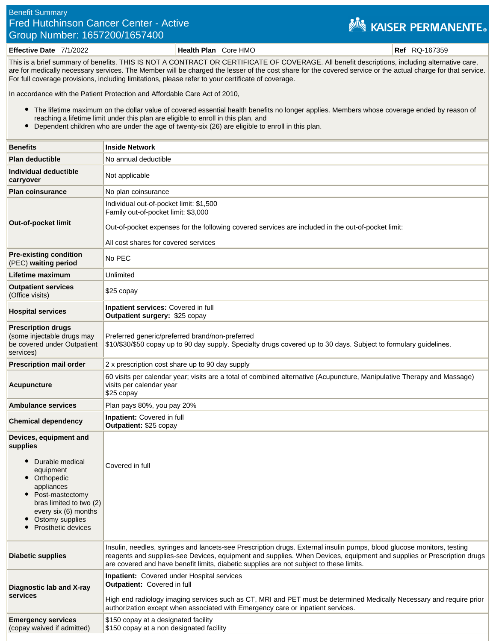## Benefit Summary Fred Hutchinson Cancer Center - Active Group Number: 1657200/1657400

## **NEW KAISER PERMANENTE.**

**Effective Date** 7/1/2022 **Health Plan** Core HMO **Ref** RQ-167359

This is a brief summary of benefits. THIS IS NOT A CONTRACT OR CERTIFICATE OF COVERAGE. All benefit descriptions, including alternative care, are for medically necessary services. The Member will be charged the lesser of the cost share for the covered service or the actual charge for that service. For full coverage provisions, including limitations, please refer to your certificate of coverage.

In accordance with the Patient Protection and Affordable Care Act of 2010,

- The lifetime maximum on the dollar value of covered essential health benefits no longer applies. Members whose coverage ended by reason of reaching a lifetime limit under this plan are eligible to enroll in this plan, and
- Dependent children who are under the age of twenty-six (26) are eligible to enroll in this plan.

| <b>Benefits</b>                                                                                                                                                                                               | <b>Inside Network</b>                                                                                                                                                                                                                                                                                                                      |
|---------------------------------------------------------------------------------------------------------------------------------------------------------------------------------------------------------------|--------------------------------------------------------------------------------------------------------------------------------------------------------------------------------------------------------------------------------------------------------------------------------------------------------------------------------------------|
| <b>Plan deductible</b>                                                                                                                                                                                        | No annual deductible                                                                                                                                                                                                                                                                                                                       |
| Individual deductible<br>carryover                                                                                                                                                                            | Not applicable                                                                                                                                                                                                                                                                                                                             |
| <b>Plan coinsurance</b>                                                                                                                                                                                       | No plan coinsurance                                                                                                                                                                                                                                                                                                                        |
| Out-of-pocket limit                                                                                                                                                                                           | Individual out-of-pocket limit: \$1,500<br>Family out-of-pocket limit: \$3,000<br>Out-of-pocket expenses for the following covered services are included in the out-of-pocket limit:<br>All cost shares for covered services                                                                                                               |
| <b>Pre-existing condition</b><br>(PEC) waiting period                                                                                                                                                         | No PEC                                                                                                                                                                                                                                                                                                                                     |
| Lifetime maximum                                                                                                                                                                                              | Unlimited                                                                                                                                                                                                                                                                                                                                  |
| <b>Outpatient services</b><br>(Office visits)                                                                                                                                                                 | \$25 copay                                                                                                                                                                                                                                                                                                                                 |
| <b>Hospital services</b>                                                                                                                                                                                      | Inpatient services: Covered in full<br>Outpatient surgery: \$25 copay                                                                                                                                                                                                                                                                      |
| <b>Prescription drugs</b><br>(some injectable drugs may<br>be covered under Outpatient<br>services)                                                                                                           | Preferred generic/preferred brand/non-preferred<br>\$10/\$30/\$50 copay up to 90 day supply. Specialty drugs covered up to 30 days. Subject to formulary guidelines.                                                                                                                                                                       |
| <b>Prescription mail order</b>                                                                                                                                                                                | 2 x prescription cost share up to 90 day supply                                                                                                                                                                                                                                                                                            |
| <b>Acupuncture</b>                                                                                                                                                                                            | 60 visits per calendar year; visits are a total of combined alternative (Acupuncture, Manipulative Therapy and Massage)<br>visits per calendar year<br>\$25 copay                                                                                                                                                                          |
| <b>Ambulance services</b>                                                                                                                                                                                     | Plan pays 80%, you pay 20%                                                                                                                                                                                                                                                                                                                 |
| <b>Chemical dependency</b>                                                                                                                                                                                    | Inpatient: Covered in full<br>Outpatient: \$25 copay                                                                                                                                                                                                                                                                                       |
| Devices, equipment and<br>supplies<br>Durable medical<br>equipment<br>Orthopedic<br>appliances<br>Post-mastectomy<br>bras limited to two (2)<br>every six (6) months<br>Ostomy supplies<br>Prosthetic devices | Covered in full                                                                                                                                                                                                                                                                                                                            |
| <b>Diabetic supplies</b>                                                                                                                                                                                      | Insulin, needles, syringes and lancets-see Prescription drugs. External insulin pumps, blood glucose monitors, testing<br>reagents and supplies-see Devices, equipment and supplies. When Devices, equipment and supplies or Prescription drugs<br>are covered and have benefit limits, diabetic supplies are not subject to these limits. |
| Diagnostic lab and X-ray<br>services                                                                                                                                                                          | <b>Inpatient:</b> Covered under Hospital services<br><b>Outpatient:</b> Covered in full<br>High end radiology imaging services such as CT, MRI and PET must be determined Medically Necessary and require prior<br>authorization except when associated with Emergency care or inpatient services.                                         |
| <b>Emergency services</b><br>(copay waived if admitted)                                                                                                                                                       | \$150 copay at a designated facility<br>\$150 copay at a non designated facility                                                                                                                                                                                                                                                           |